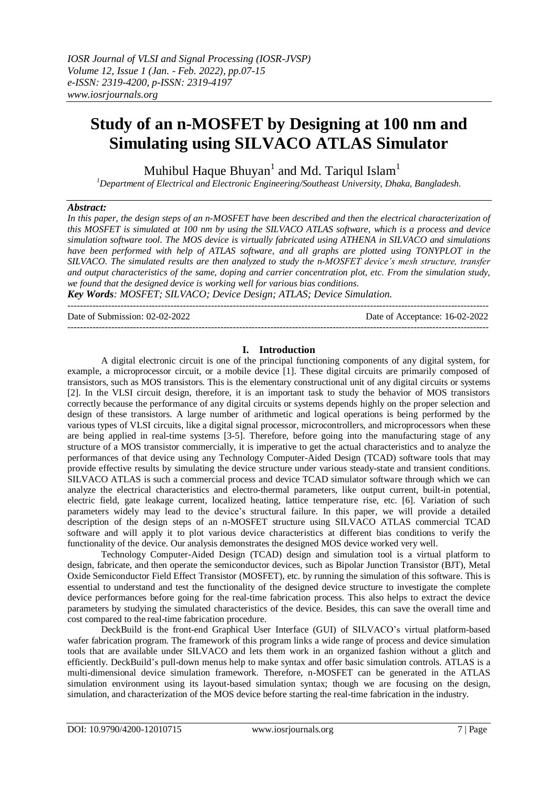# **Study of an n-MOSFET by Designing at 100 nm and Simulating using SILVACO ATLAS Simulator**

Muhibul Haque Bhuyan $^1$  and Md. Tariqul Islam $^1$ 

*<sup>1</sup>Department of Electrical and Electronic Engineering/Southeast University, Dhaka, Bangladesh.*

### *Abstract:*

*In this paper, the design steps of an n-MOSFET have been described and then the electrical characterization of this MOSFET is simulated at 100 nm by using the SILVACO ATLAS software, which is a process and device simulation software tool. The MOS device is virtually fabricated using ATHENA in SILVACO and simulations*  have been performed with help of ATLAS software, and all graphs are plotted using TONYPLOT in the *SILVACO. The simulated results are then analyzed to study the n-MOSFET device's mesh structure, transfer and output characteristics of the same, doping and carrier concentration plot, etc. From the simulation study, we found that the designed device is working well for various bias conditions.*

*Key Words: MOSFET; SILVACO; Device Design; ATLAS; Device Simulation.*  $-1\leq i\leq n-1$ 

Date of Submission: 02-02-2022 Date of Acceptance: 16-02-2022

---------------------------------------------------------------------------------------------------------------------------------------

# **I. Introduction**

A digital electronic circuit is one of the principal functioning components of any digital system, for example, a microprocessor circuit, or a mobile device [1]. These digital circuits are primarily composed of transistors, such as MOS transistors. This is the elementary constructional unit of any digital circuits or systems [2]. In the VLSI circuit design, therefore, it is an important task to study the behavior of MOS transistors correctly because the performance of any digital circuits or systems depends highly on the proper selection and design of these transistors. A large number of arithmetic and logical operations is being performed by the various types of VLSI circuits, like a digital signal processor, microcontrollers, and microprocessors when these are being applied in real-time systems [3-5]. Therefore, before going into the manufacturing stage of any structure of a MOS transistor commercially, it is imperative to get the actual characteristics and to analyze the performances of that device using any Technology Computer-Aided Design (TCAD) software tools that may provide effective results by simulating the device structure under various steady-state and transient conditions. SILVACO ATLAS is such a commercial process and device TCAD simulator software through which we can analyze the electrical characteristics and electro-thermal parameters, like output current, built-in potential, electric field, gate leakage current, localized heating, lattice temperature rise, etc. [6]. Variation of such parameters widely may lead to the device's structural failure. In this paper, we will provide a detailed description of the design steps of an n-MOSFET structure using SILVACO ATLAS commercial TCAD software and will apply it to plot various device characteristics at different bias conditions to verify the functionality of the device. Our analysis demonstrates the designed MOS device worked very well.

Technology Computer-Aided Design (TCAD) design and simulation tool is a virtual platform to design, fabricate, and then operate the semiconductor devices, such as Bipolar Junction Transistor (BJT), Metal Oxide Semiconductor Field Effect Transistor (MOSFET), etc. by running the simulation of this software. This is essential to understand and test the functionality of the designed device structure to investigate the complete device performances before going for the real-time fabrication process. This also helps to extract the device parameters by studying the simulated characteristics of the device. Besides, this can save the overall time and cost compared to the real-time fabrication procedure.

DeckBuild is the front-end Graphical User Interface (GUI) of SILVACO's virtual platform-based wafer fabrication program. The framework of this program links a wide range of process and device simulation tools that are available under SILVACO and lets them work in an organized fashion without a glitch and efficiently. DeckBuild's pull-down menus help to make syntax and offer basic simulation controls. ATLAS is a multi-dimensional device simulation framework. Therefore, n-MOSFET can be generated in the ATLAS simulation environment using its layout-based simulation syntax; though we are focusing on the design, simulation, and characterization of the MOS device before starting the real-time fabrication in the industry.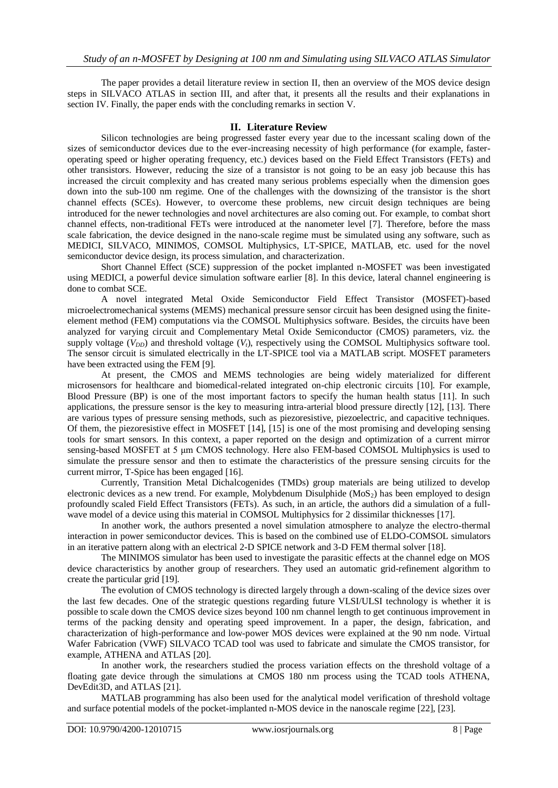The paper provides a detail literature review in section II, then an overview of the MOS device design steps in SILVACO ATLAS in section III, and after that, it presents all the results and their explanations in section IV. Finally, the paper ends with the concluding remarks in section V.

### **II. Literature Review**

Silicon technologies are being progressed faster every year due to the incessant scaling down of the sizes of semiconductor devices due to the ever-increasing necessity of high performance (for example, fasteroperating speed or higher operating frequency, etc.) devices based on the Field Effect Transistors (FETs) and other transistors. However, reducing the size of a transistor is not going to be an easy job because this has increased the circuit complexity and has created many serious problems especially when the dimension goes down into the sub-100 nm regime. One of the challenges with the downsizing of the transistor is the short channel effects (SCEs). However, to overcome these problems, new circuit design techniques are being introduced for the newer technologies and novel architectures are also coming out. For example, to combat short channel effects, non-traditional FETs were introduced at the nanometer level [7]. Therefore, before the mass scale fabrication, the device designed in the nano-scale regime must be simulated using any software, such as MEDICI, SILVACO, MINIMOS, COMSOL Multiphysics, LT-SPICE, MATLAB, etc. used for the novel semiconductor device design, its process simulation, and characterization.

Short Channel Effect (SCE) suppression of the pocket implanted n-MOSFET was been investigated using MEDICI, a powerful device simulation software earlier [8]. In this device, lateral channel engineering is done to combat SCE.

A novel integrated Metal Oxide Semiconductor Field Effect Transistor (MOSFET)-based microelectromechanical systems (MEMS) mechanical pressure sensor circuit has been designed using the finiteelement method (FEM) computations via the COMSOL Multiphysics software. Besides, the circuits have been analyzed for varying circuit and Complementary Metal Oxide Semiconductor (CMOS) parameters, viz. the supply voltage  $(V_{DD})$  and threshold voltage  $(V_t)$ , respectively using the COMSOL Multiphysics software tool. The sensor circuit is simulated electrically in the LT-SPICE tool via a MATLAB script. MOSFET parameters have been extracted using the FEM [9].

At present, the CMOS and MEMS technologies are being widely materialized for different microsensors for healthcare and biomedical-related integrated on-chip electronic circuits [10]. For example, Blood Pressure (BP) is one of the most important factors to specify the human health status [11]. In such applications, the pressure sensor is the key to measuring intra-arterial blood pressure directly [12], [13]. There are various types of pressure sensing methods, such as piezoresistive, piezoelectric, and capacitive techniques. Of them, the piezoresistive effect in MOSFET [14], [15] is one of the most promising and developing sensing tools for smart sensors. In this context, a paper reported on the design and optimization of a current mirror sensing-based MOSFET at 5 μm CMOS technology. Here also FEM-based COMSOL Multiphysics is used to simulate the pressure sensor and then to estimate the characteristics of the pressure sensing circuits for the current mirror, T-Spice has been engaged [16].

Currently, Transition Metal Dichalcogenides (TMDs) group materials are being utilized to develop electronic devices as a new trend. For example, Molybdenum Disulphide  $(MoS<sub>2</sub>)$  has been employed to design profoundly scaled Field Effect Transistors (FETs). As such, in an article, the authors did a simulation of a fullwave model of a device using this material in COMSOL Multiphysics for 2 dissimilar thicknesses [17].

In another work, the authors presented a novel simulation atmosphere to analyze the electro-thermal interaction in power semiconductor devices. This is based on the combined use of ELDO-COMSOL simulators in an iterative pattern along with an electrical 2-D SPICE network and 3-D FEM thermal solver [18].

The MINIMOS simulator has been used to investigate the parasitic effects at the channel edge on MOS device characteristics by another group of researchers. They used an automatic grid-refinement algorithm to create the particular grid [19].

The evolution of CMOS technology is directed largely through a down-scaling of the device sizes over the last few decades. One of the strategic questions regarding future VLSI/ULSI technology is whether it is possible to scale down the CMOS device sizes beyond 100 nm channel length to get continuous improvement in terms of the packing density and operating speed improvement. In a paper, the design, fabrication, and characterization of high-performance and low-power MOS devices were explained at the 90 nm node. Virtual Wafer Fabrication (VWF) SILVACO TCAD tool was used to fabricate and simulate the CMOS transistor, for example, ATHENA and ATLAS [20].

In another work, the researchers studied the process variation effects on the threshold voltage of a floating gate device through the simulations at CMOS 180 nm process using the TCAD tools ATHENA, DevEdit3D, and ATLAS [21].

MATLAB programming has also been used for the analytical model verification of threshold voltage and surface potential models of the pocket-implanted n-MOS device in the nanoscale regime [22], [23].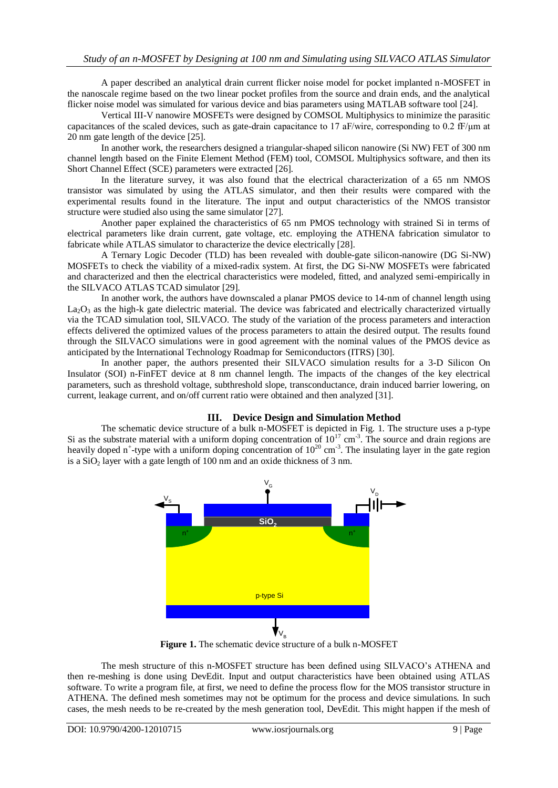A paper described an analytical drain current flicker noise model for pocket implanted n-MOSFET in the nanoscale regime based on the two linear pocket profiles from the source and drain ends, and the analytical flicker noise model was simulated for various device and bias parameters using MATLAB software tool [24].

Vertical III-V nanowire MOSFETs were designed by COMSOL Multiphysics to minimize the parasitic capacitances of the scaled devices, such as gate-drain capacitance to 17 aF/wire, corresponding to 0.2 fF/μm at 20 nm gate length of the device [25].

In another work, the researchers designed a triangular-shaped silicon nanowire (Si NW) FET of 300 nm channel length based on the Finite Element Method (FEM) tool, COMSOL Multiphysics software, and then its Short Channel Effect (SCE) parameters were extracted [26].

In the literature survey, it was also found that the electrical characterization of a 65 nm NMOS transistor was simulated by using the ATLAS simulator, and then their results were compared with the experimental results found in the literature. The input and output characteristics of the NMOS transistor structure were studied also using the same simulator [27].

Another paper explained the characteristics of 65 nm PMOS technology with strained Si in terms of electrical parameters like drain current, gate voltage, etc. employing the ATHENA fabrication simulator to fabricate while ATLAS simulator to characterize the device electrically [28].

A Ternary Logic Decoder (TLD) has been revealed with double-gate silicon-nanowire (DG Si-NW) MOSFETs to check the viability of a mixed-radix system. At first, the DG Si-NW MOSFETs were fabricated and characterized and then the electrical characteristics were modeled, fitted, and analyzed semi-empirically in the SILVACO ATLAS TCAD simulator [29].

In another work, the authors have downscaled a planar PMOS device to 14-nm of channel length using  $La<sub>2</sub>O<sub>3</sub>$  as the high-k gate dielectric material. The device was fabricated and electrically characterized virtually via the TCAD simulation tool, SILVACO. The study of the variation of the process parameters and interaction effects delivered the optimized values of the process parameters to attain the desired output. The results found through the SILVACO simulations were in good agreement with the nominal values of the PMOS device as anticipated by the International Technology Roadmap for Semiconductors (ITRS) [30].

In another paper, the authors presented their SILVACO simulation results for a 3-D Silicon On Insulator (SOI) n-FinFET device at 8 nm channel length. The impacts of the changes of the key electrical parameters, such as threshold voltage, subthreshold slope, transconductance, drain induced barrier lowering, on current, leakage current, and on/off current ratio were obtained and then analyzed [31].

# **III. Device Design and Simulation Method**

The schematic device structure of a bulk n-MOSFET is depicted in Fig. 1. The structure uses a p-type Si as the substrate material with a uniform doping concentration of  $10^{17}$  cm<sup>-3</sup>. The source and drain regions are heavily doped n<sup>+</sup>-type with a uniform doping concentration of  $10^{20}$  cm<sup>-3</sup>. The insulating layer in the gate region is a  $SiO<sub>2</sub>$  layer with a gate length of 100 nm and an oxide thickness of 3 nm.



Figure 1. The schematic device structure of a bulk n-MOSFET

The mesh structure of this n-MOSFET structure has been defined using SILVACO's ATHENA and then re-meshing is done using DevEdit. Input and output characteristics have been obtained using ATLAS software. To write a program file, at first, we need to define the process flow for the MOS transistor structure in ATHENA. The defined mesh sometimes may not be optimum for the process and device simulations. In such cases, the mesh needs to be re-created by the mesh generation tool, DevEdit. This might happen if the mesh of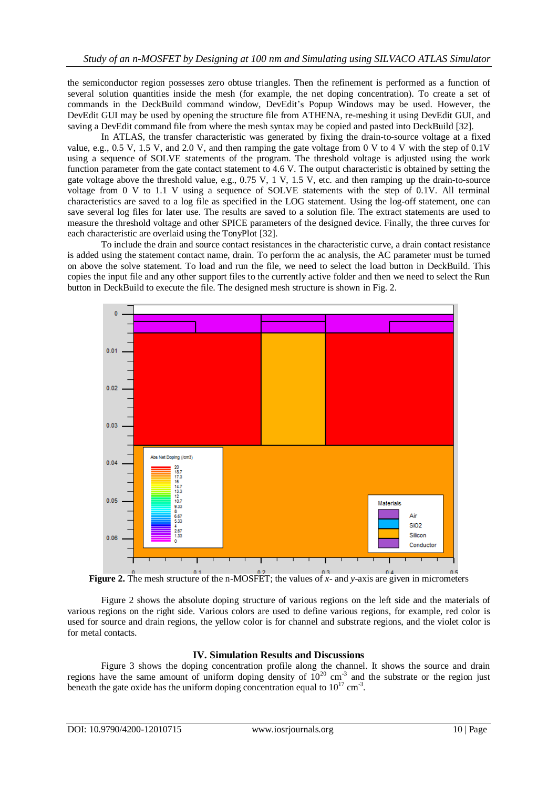the semiconductor region possesses zero obtuse triangles. Then the refinement is performed as a function of several solution quantities inside the mesh (for example, the net doping concentration). To create a set of commands in the DeckBuild command window, DevEdit's Popup Windows may be used. However, the DevEdit GUI may be used by opening the structure file from ATHENA, re-meshing it using DevEdit GUI, and saving a DevEdit command file from where the mesh syntax may be copied and pasted into DeckBuild [32].

In ATLAS, the transfer characteristic was generated by fixing the drain-to-source voltage at a fixed value, e.g., 0.5 V, 1.5 V, and 2.0 V, and then ramping the gate voltage from 0 V to 4 V with the step of 0.1V using a sequence of SOLVE statements of the program. The threshold voltage is adjusted using the work function parameter from the gate contact statement to 4.6 V. The output characteristic is obtained by setting the gate voltage above the threshold value, e.g., 0.75 V, 1 V, 1.5 V, etc. and then ramping up the drain-to-source voltage from 0 V to 1.1 V using a sequence of SOLVE statements with the step of 0.1V. All terminal characteristics are saved to a log file as specified in the LOG statement. Using the log-off statement, one can save several log files for later use. The results are saved to a solution file. The extract statements are used to measure the threshold voltage and other SPICE parameters of the designed device. Finally, the three curves for each characteristic are overlaid using the TonyPlot [32].

To include the drain and source contact resistances in the characteristic curve, a drain contact resistance is added using the statement contact name, drain. To perform the ac analysis, the AC parameter must be turned on above the solve statement. To load and run the file, we need to select the load button in DeckBuild. This copies the input file and any other support files to the currently active folder and then we need to select the Run button in DeckBuild to execute the file. The designed mesh structure is shown in Fig. 2.



**Figure 2.** The mesh structure of the n-MOSFET; the values of  $\overline{x}$ - and *y*-axis are given in micrometers

Figure 2 shows the absolute doping structure of various regions on the left side and the materials of various regions on the right side. Various colors are used to define various regions, for example, red color is used for source and drain regions, the yellow color is for channel and substrate regions, and the violet color is for metal contacts.

# **IV. Simulation Results and Discussions**

Figure 3 shows the doping concentration profile along the channel. It shows the source and drain regions have the same amount of uniform doping density of  $10^{20}$  cm<sup>-3</sup> and the substrate or the region just beneath the gate oxide has the uniform doping concentration equal to  $10^{17}$  cm<sup>-3</sup>.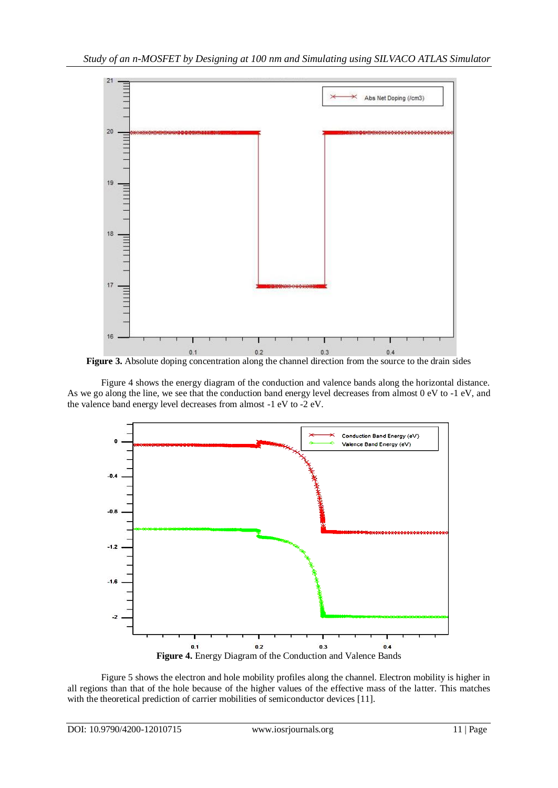

**Figure 3.** Absolute doping concentration along the channel direction from the source to the drain sides

Figure 4 shows the energy diagram of the conduction and valence bands along the horizontal distance. As we go along the line, we see that the conduction band energy level decreases from almost 0 eV to -1 eV, and the valence band energy level decreases from almost -1 eV to -2 eV.



Figure 5 shows the electron and hole mobility profiles along the channel. Electron mobility is higher in all regions than that of the hole because of the higher values of the effective mass of the latter. This matches with the theoretical prediction of carrier mobilities of semiconductor devices [11].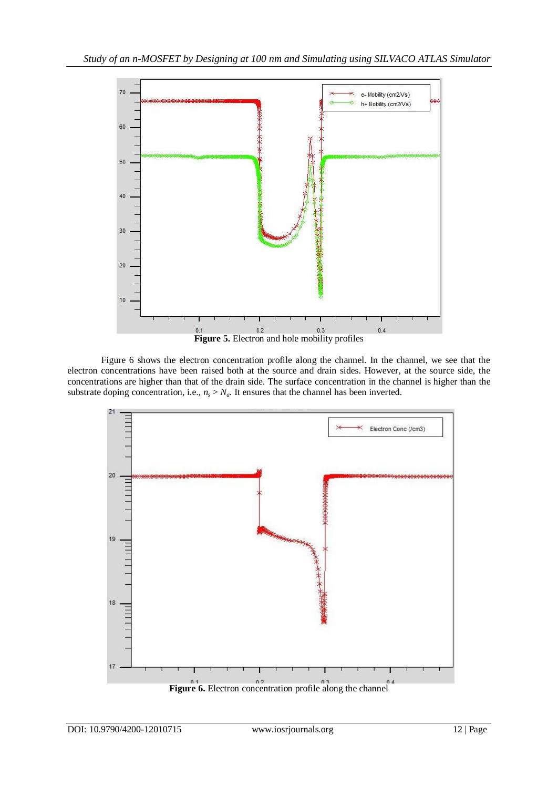

Figure 6 shows the electron concentration profile along the channel. In the channel, we see that the electron concentrations have been raised both at the source and drain sides. However, at the source side, the concentrations are higher than that of the drain side. The surface concentration in the channel is higher than the substrate doping concentration, i.e.,  $n_s > N_a$ . It ensures that the channel has been inverted.

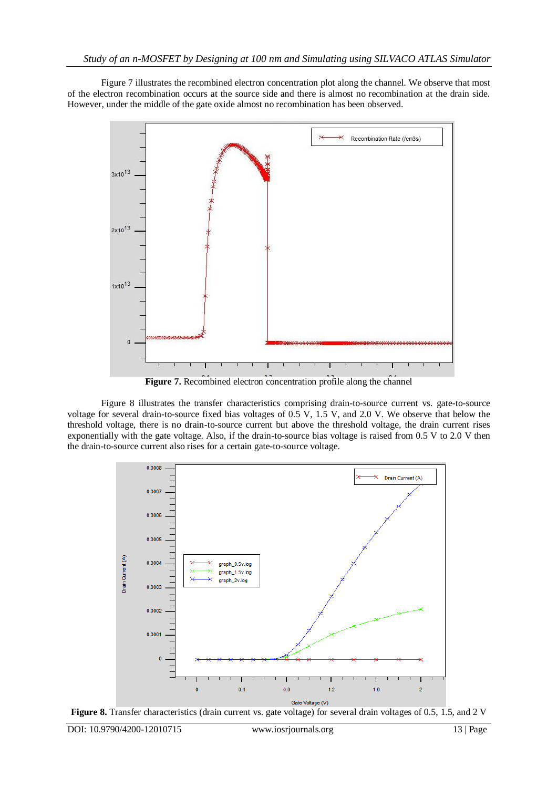Figure 7 illustrates the recombined electron concentration plot along the channel. We observe that most of the electron recombination occurs at the source side and there is almost no recombination at the drain side. However, under the middle of the gate oxide almost no recombination has been observed.



**Figure 7.** Recombined electron concentration profile along the channel

Figure 8 illustrates the transfer characteristics comprising drain-to-source current vs. gate-to-source voltage for several drain-to-source fixed bias voltages of 0.5 V, 1.5 V, and 2.0 V. We observe that below the threshold voltage, there is no drain-to-source current but above the threshold voltage, the drain current rises exponentially with the gate voltage. Also, if the drain-to-source bias voltage is raised from 0.5 V to 2.0 V then the drain-to-source current also rises for a certain gate-to-source voltage.



**Figure 8.** Transfer characteristics (drain current vs. gate voltage) for several drain voltages of 0.5, 1.5, and 2 V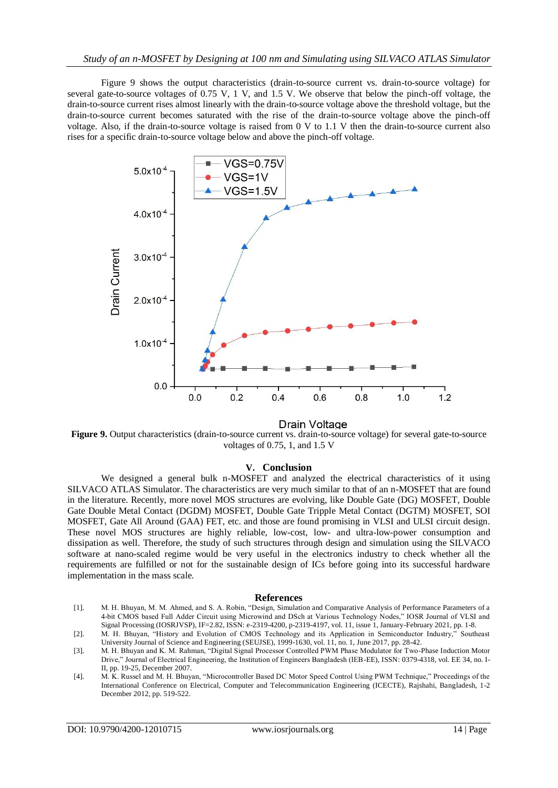Figure 9 shows the output characteristics (drain-to-source current vs. drain-to-source voltage) for several gate-to-source voltages of 0.75 V, 1 V, and 1.5 V. We observe that below the pinch-off voltage, the drain-to-source current rises almost linearly with the drain-to-source voltage above the threshold voltage, but the drain-to-source current becomes saturated with the rise of the drain-to-source voltage above the pinch-off voltage. Also, if the drain-to-source voltage is raised from 0 V to 1.1 V then the drain-to-source current also rises for a specific drain-to-source voltage below and above the pinch-off voltage.



Drain Voltage

**Figure 9.** Output characteristics (drain-to-source current vs. drain-to-source voltage) for several gate-to-source voltages of 0.75, 1, and 1.5 V

#### **V. Conclusion**

We designed a general bulk n-MOSFET and analyzed the electrical characteristics of it using SILVACO ATLAS Simulator. The characteristics are very much similar to that of an n-MOSFET that are found in the literature. Recently, more novel MOS structures are evolving, like Double Gate (DG) MOSFET, Double Gate Double Metal Contact (DGDM) MOSFET, Double Gate Tripple Metal Contact (DGTM) MOSFET, SOI MOSFET, Gate All Around (GAA) FET, etc. and those are found promising in VLSI and ULSI circuit design. These novel MOS structures are highly reliable, low-cost, low- and ultra-low-power consumption and dissipation as well. Therefore, the study of such structures through design and simulation using the SILVACO software at nano-scaled regime would be very useful in the electronics industry to check whether all the requirements are fulfilled or not for the sustainable design of ICs before going into its successful hardware implementation in the mass scale.

#### **References**

- [1]. M. H. Bhuyan, M. M. Ahmed, and S. A. Robin, "Design, Simulation and Comparative Analysis of Performance Parameters of a 4-bit CMOS based Full Adder Circuit using Microwind and DSch at Various Technology Nodes," IOSR Journal of VLSI and Signal Processing (IOSRJVSP), IF=2.82, ISSN: e-2319-4200, p-2319-4197, vol. 11, issue 1, January-February 2021, pp. 1-8.
- [2]. M. H. Bhuyan, "History and Evolution of CMOS Technology and its Application in Semiconductor Industry," Southeast University Journal of Science and Engineering (SEUJSE), 1999-1630, vol. 11, no. 1, June 2017, pp. 28-42.
- [3]. M. H. Bhuyan and K. M. Rahman, "Digital Signal Processor Controlled PWM Phase Modulator for Two-Phase Induction Motor Drive," Journal of Electrical Engineering, the Institution of Engineers Bangladesh (IEB-EE), ISSN: 0379-4318, vol. EE 34, no. I-II, pp. 19-25, December 2007.
- [4]. M. K. Russel and M. H. Bhuyan, "Microcontroller Based DC Motor Speed Control Using PWM Technique," Proceedings of the International Conference on Electrical, Computer and Telecommunication Engineering (ICECTE), Rajshahi, Bangladesh, 1-2 December 2012, pp. 519-522.